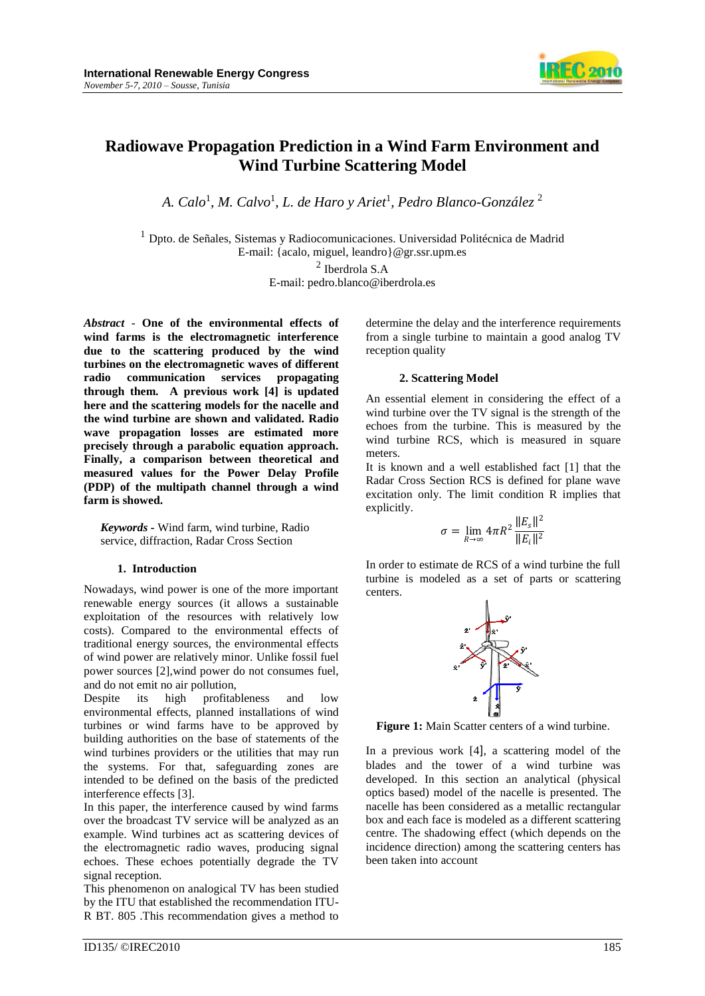

# **Radiowave Propagation Prediction in a Wind Farm Environment and Wind Turbine Scattering Model**

*A. Calo*<sup>1</sup> *, M. Calvo*<sup>1</sup> *, L. de Haro y Ariet*<sup>1</sup> *, Pedro Blanco-González* <sup>2</sup>

<sup>1</sup> Dpto. de Señales, Sistemas y Radiocomunicaciones. Universidad Politécnica de Madrid E-mail: {acalo, miguel, leandro}@gr.ssr.upm.es

2 Iberdrola S.A

E-mail: pedro.blanco@iberdrola.es

*Abstract* - **One of the environmental effects of wind farms is the electromagnetic interference due to the scattering produced by the wind turbines on the electromagnetic waves of different radio communication services propagating through them. A previous work [4] is updated here and the scattering models for the nacelle and the wind turbine are shown and validated. Radio wave propagation losses are estimated more precisely through a parabolic equation approach. Finally, a comparison between theoretical and measured values for the Power Delay Profile (PDP) of the multipath channel through a wind farm is showed.**

*Keywords -* Wind farm, wind turbine, Radio service, diffraction, Radar Cross Section

## **1. Introduction**

Nowadays, wind power is one of the more important renewable energy sources (it allows a sustainable exploitation of the resources with relatively low costs). Compared to the environmental effects of traditional energy sources, the environmental effects of wind power are relatively minor. Unlike fossil fuel power sources [\[2\],](#page-4-0)wind power do not consumes fuel, and do not emit no air pollution,

Despite its high profitableness and low environmental effects, planned installations of wind turbines or wind farms have to be approved by building authorities on the base of statements of the wind turbines providers or the utilities that may run the systems. For that, safeguarding zones are intended to be defined on the basis of the predicted interference effects [\[3\].](#page-4-1)

In this paper, the interference caused by wind farms over the broadcast TV service will be analyzed as an example. Wind turbines act as scattering devices of the electromagnetic radio waves, producing signal echoes. These echoes potentially degrade the TV signal reception.

This phenomenon on analogical TV has been studied by the ITU that established the recommendation ITU-R BT. 805 .This recommendation gives a method to

determine the delay and the interference requirements from a single turbine to maintain a good analog TV reception quality

## **2. Scattering Model**

An essential element in considering the effect of a wind turbine over the TV signal is the strength of the echoes from the turbine. This is measured by the wind turbine RCS, which is measured in square meters.

It is known and a well established fact [1] that the Radar Cross Section RCS is defined for plane wave excitation only. The limit condition R implies that explicitly.

$$
\sigma = \lim_{R \to \infty} 4\pi R^2 \frac{\|E_s\|^2}{\|E_i\|^2}
$$

In order to estimate de RCS of a wind turbine the full turbine is modeled as a set of parts or scattering centers.



Figure 1: Main Scatter centers of a wind turbine.

In a previous work [\[4](#page-4-2)], a scattering model of the blades and the tower of a wind turbine was developed. In this section an analytical (physical optics based) model of the nacelle is presented. The nacelle has been considered as a metallic rectangular box and each face is modeled as a different scattering centre. The shadowing effect (which depends on the incidence direction) among the scattering centers has been taken into account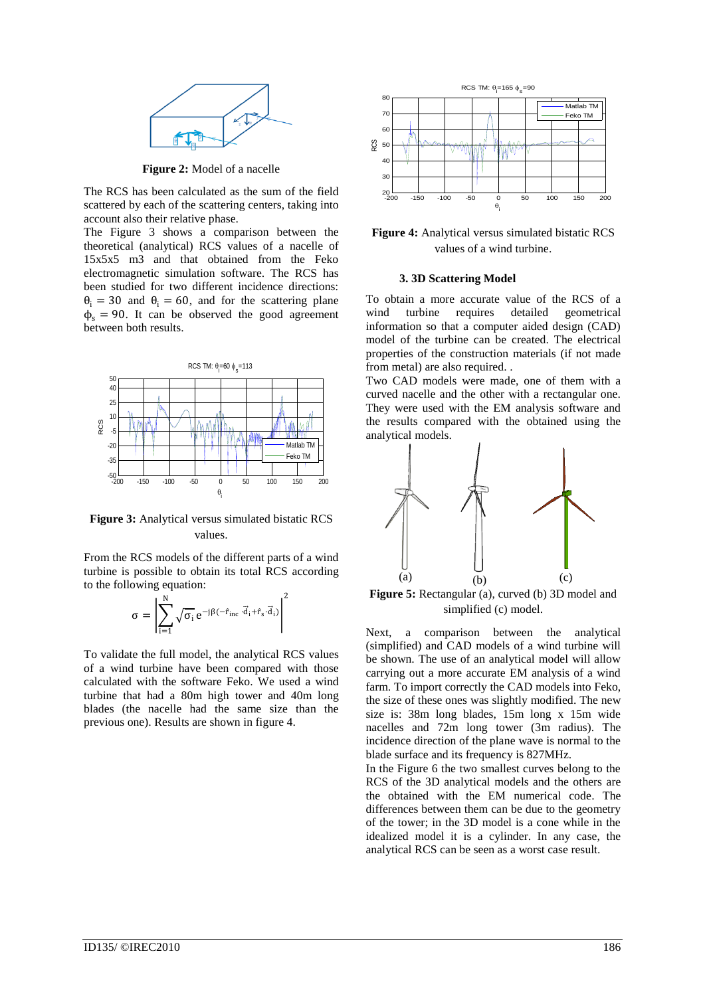

**Figure 2:** Model of a nacelle

The RCS has been calculated as the sum of the field scattered by each of the scattering centers, taking into account also their relative phase.

The [Figure 3](#page-1-0) shows a comparison between the theoretical (analytical) RCS values of a nacelle of 15x5x5 m3 and that obtained from the Feko electromagnetic simulation software. The RCS has been studied for two different incidence directions:  $\theta_i = 30$  and  $\theta_i = 60$ , and for the scattering plane  $\phi_s = 90$ . It can be observed the good agreement between both results.



<span id="page-1-0"></span>**Figure 3:** Analytical versus simulated bistatic RCS values.

From the RCS models of the different parts of a wind turbine is possible to obtain its total RCS according to the following equation:

$$
\sigma = \left| \sum_{i=1}^N \sqrt{\sigma_i} \; e^{-j \beta (-\hat{r}_{inc} \cdot \vec{d}_i + \hat{r}_s \cdot \vec{d}_i)} \right|^2
$$

To validate the full model, the analytical RCS values of a wind turbine have been compared with those calculated with the software Feko. We used a wind turbine that had a 80m high tower and 40m long blades (the nacelle had the same size than the previous one). Results are shown in figure 4.



**Figure 4:** Analytical versus simulated bistatic RCS values of a wind turbine.

### **3. 3D Scattering Model**

To obtain a more accurate value of the RCS of a wind turbine requires detailed geometrical information so that a computer aided design (CAD) model of the turbine can be created. The electrical properties of the construction materials (if not made from metal) are also required. .

Two CAD models were made, one of them with a curved nacelle and the other with a rectangular one. They were used with the EM analysis software and the results compared with the obtained using the analytical models.



**Figure 5:** Rectangular (a), curved (b) 3D model and simplified (c) model.

Next, a comparison between the analytical (simplified) and CAD models of a wind turbine will be shown. The use of an analytical model will allow carrying out a more accurate EM analysis of a wind farm. To import correctly the CAD models into Feko, the size of these ones was slightly modified. The new size is: 38m long blades, 15m long x 15m wide nacelles and 72m long tower (3m radius). The incidence direction of the plane wave is normal to the blade surface and its frequency is 827MHz.

In the [Figure 6](#page-2-0) the two smallest curves belong to the RCS of the 3D analytical models and the others are the obtained with the EM numerical code. The differences between them can be due to the geometry of the tower; in the 3D model is a cone while in the idealized model it is a cylinder. In any case, the analytical RCS can be seen as a worst case result.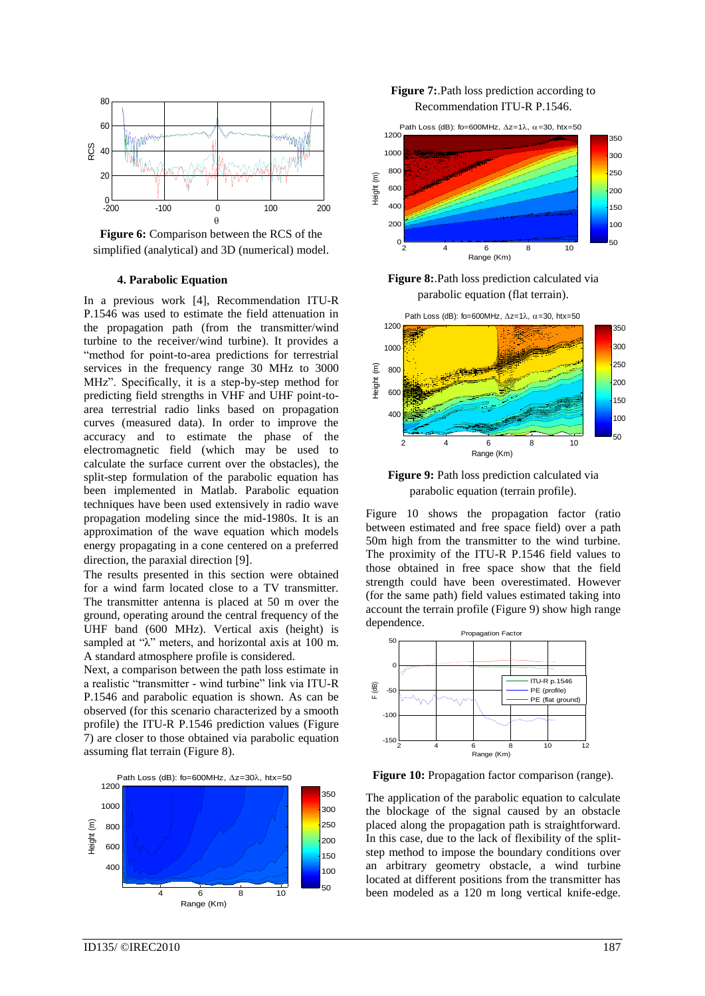

<span id="page-2-0"></span>**Figure 6:** Comparison between the RCS of the simplified (analytical) and 3D (numerical) model.

# **4. Parabolic Equation**

In a previous work [\[4\],](#page-4-2) Recommendation ITU-R P.1546 was used to estimate the field attenuation in the propagation path (from the transmitter/wind turbine to the receiver/wind turbine). It provides a "method for point-to-area predictions for terrestrial services in the frequency range 30 MHz to 3000 MHz". Specifically, it is a step-by-step method for predicting field strengths in VHF and UHF point-toarea terrestrial radio links based on propagation curves (measured data). In order to improve the accuracy and to estimate the phase of the electromagnetic field (which may be used to calculate the surface current over the obstacles), the split-step formulation of the parabolic equation has been implemented in Matlab. Parabolic equation techniques have been used extensively in radio wave propagation modeling since the mid-1980s. It is an approximation of the wave equation which models energy propagating in a cone centered on a preferred direction, the paraxial direction [\[9](#page-4-3)].

The results presented in this section were obtained for a wind farm located close to a TV transmitter. The transmitter antenna is placed at 50 m over the ground, operating around the central frequency of the UHF band (600 MHz). Vertical axis (height) is sampled at "λ" meters, and horizontal axis at 100 m. A standard atmosphere profile is considered.

Next, a comparison between the path loss estimate in a realistic "transmitter - wind turbine" link via ITU-R P.1546 and parabolic equation is shown. As can be observed (for this scenario characterized by a smooth profile) the ITU-R P.1546 prediction values [\(Figure](#page-2-1)  [7\)](#page-2-1) are closer to those obtained via parabolic equation assuming flat terrain [\(Figure 8\)](#page-2-2).



## <span id="page-2-1"></span>**Figure 7:**.Path loss prediction according to Recommendation ITU-R P.1546.



<span id="page-2-2"></span>**Figure 8:**.Path loss prediction calculated via parabolic equation (flat terrain).



<span id="page-2-4"></span>**Figure 9:** Path loss prediction calculated via parabolic equation (terrain profile).

[Figure 10](#page-2-3) shows the propagation factor (ratio between estimated and free space field) over a path 50m high from the transmitter to the wind turbine. The proximity of the ITU-R P.1546 field values to those obtained in free space show that the field strength could have been overestimated. However (for the same path) field values estimated taking into account the terrain profile [\(Figure 9\)](#page-2-4) show high range dependence.



<span id="page-2-3"></span>**Figure 10:** Propagation factor comparison (range).

The application of the parabolic equation to calculate the blockage of the signal caused by an obstacle placed along the propagation path is straightforward. In this case, due to the lack of flexibility of the splitstep method to impose the boundary conditions over an arbitrary geometry obstacle, a wind turbine located at different positions from the transmitter has been modeled as a 120 m long vertical knife-edge.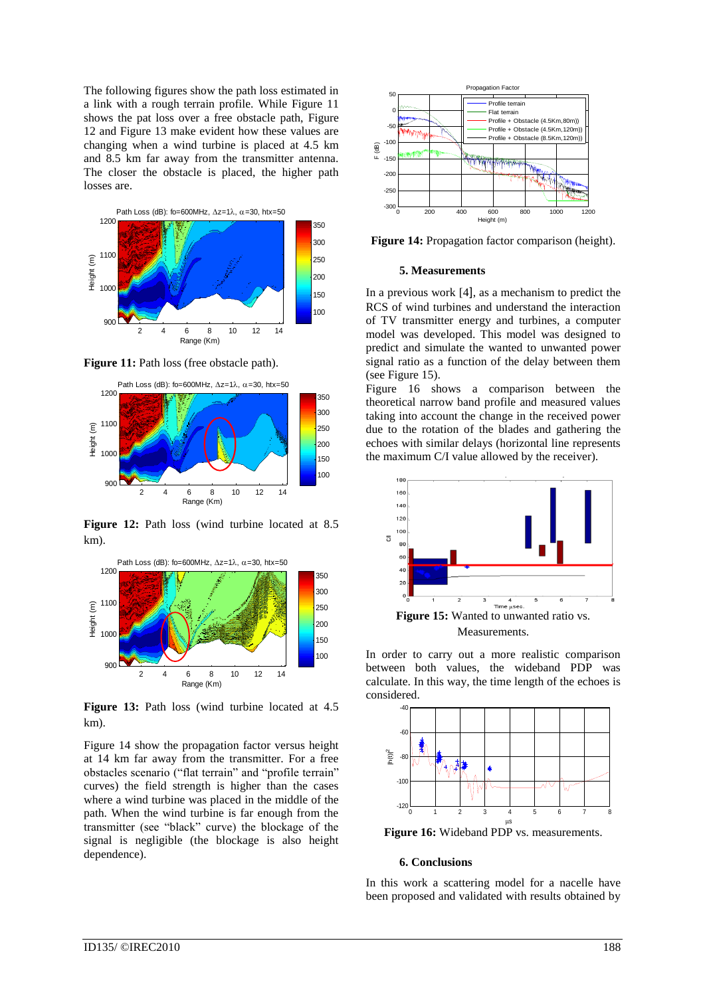The following figures show the path loss estimated in a link with a rough terrain profile. While [Figure 11](#page-3-0) shows the pat loss over a free obstacle path, [Figure](#page-3-1)  [12](#page-3-1) and [Figure 13](#page-3-2) make evident how these values are changing when a wind turbine is placed at 4.5 km and 8.5 km far away from the transmitter antenna. The closer the obstacle is placed, the higher path losses are.



<span id="page-3-0"></span>**Figure 11:** Path loss (free obstacle path).



<span id="page-3-1"></span>**Figure 12:** Path loss (wind turbine located at 8.5 km).



<span id="page-3-2"></span>**Figure 13:** Path loss (wind turbine located at 4.5 km).

[Figure 14](#page-3-3) show the propagation factor versus height at 14 km far away from the transmitter. For a free obstacles scenario ("flat terrain" and "profile terrain" curves) the field strength is higher than the cases where a wind turbine was placed in the middle of the path. When the wind turbine is far enough from the transmitter (see "black" curve) the blockage of the signal is negligible (the blockage is also height dependence).



<span id="page-3-3"></span>**Figure 14:** Propagation factor comparison (height).

#### **5. Measurements**

In a previous work [\[4](#page-4-2)], as a mechanism to predict the RCS of wind turbines and understand the interaction of TV transmitter energy and turbines, a computer model was developed. This model was designed to predict and simulate the wanted to unwanted power signal ratio as a function of the delay between them (se[e Figure 15\)](#page-3-4).

[Figure 16](#page-3-5) shows a comparison between the theoretical narrow band profile and measured values taking into account the change in the received power due to the rotation of the blades and gathering the echoes with similar delays (horizontal line represents the maximum C/I value allowed by the receiver).



<span id="page-3-4"></span>In order to carry out a more realistic comparison between both values, the wideband PDP was calculate. In this way, the time length of the echoes is considered.



<span id="page-3-5"></span>Figure 16: Wideband PDP vs. measurements.

#### **6. Conclusions**

In this work a scattering model for a nacelle have been proposed and validated with results obtained by